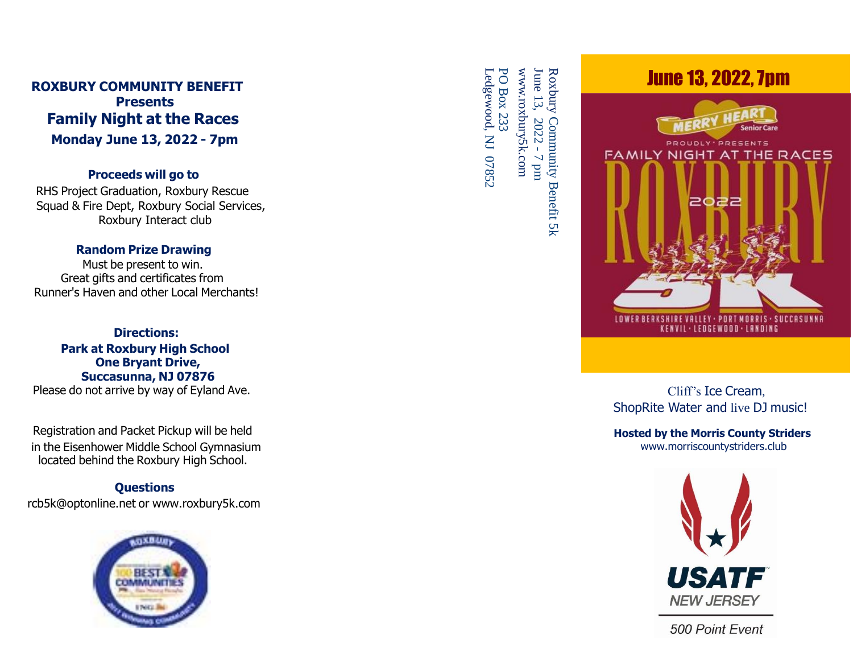# **ROXBURY COMMUNITY BENEFIT Presents Family Night at the Races Monda y June 13, 2022 - 7pm**

### **Proceeds will go to**

RHS Project Graduation, Roxbury Rescue Squad & Fire Dept, Roxbury Social Services, Roxbury Interact club

### **Random Prize Drawing**

Must be present to win. Great gifts and certificates from Runner's Haven and other Local Merchants!

#### **Directions: Park at Roxbury High School One Bryant Drive, Succasunna, NJ 07876** Please do not arrive by way of Eyland Ave.

Registration and Packet Pickup will be held in the Eisenhower Middle School Gymnasium located behind the Roxbury High School.

# **Questions**

rcb5k@optonline.net or www.roxbury5k.com



June 13, Ledgewood, www.roxbury5k.com PO www.roxbury5k.com Box 13, 2022 - 7 233  $\mathsf{Z}% _{T}=\mathsf{Z}_{T}\!\left( a,b\right) ,\ \mathsf{Z}_{T}=\mathsf{Z}_{T}$ 07852  $\mathbb{R}^n$ 

Roxbury **Community** Benefit 5k



Cliff's Ice Cream , ShopRite Water and live DJ music!

**Hosted by the Morris County Striders** www.morriscountystriders.club



500 Point Event